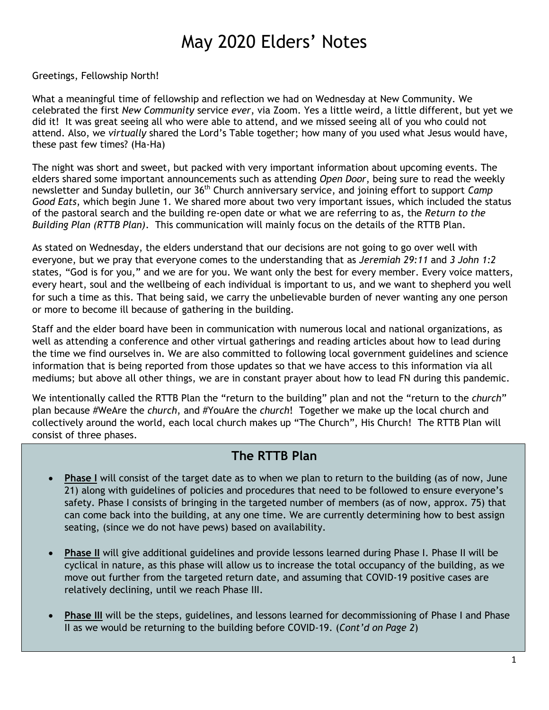# May 2020 Elders' Notes

Greetings, Fellowship North!

What a meaningful time of fellowship and reflection we had on Wednesday at New Community. We celebrated the first *New Community* service *ever*, via Zoom. Yes a little weird, a little different, but yet we did it! It was great seeing all who were able to attend, and we missed seeing all of you who could not attend. Also, we *virtually* shared the Lord's Table together; how many of you used what Jesus would have, these past few times? (Ha-Ha)

The night was short and sweet, but packed with very important information about upcoming events. The elders shared some important announcements such as attending *Open Door*, being sure to read the weekly newsletter and Sunday bulletin, our 36th Church anniversary service, and joining effort to support *Camp Good Eats*, which begin June 1. We shared more about two very important issues, which included the status of the pastoral search and the building re-open date or what we are referring to as, the *Return to the Building Plan (RTTB Plan)*. This communication will mainly focus on the details of the RTTB Plan.

As stated on Wednesday, the elders understand that our decisions are not going to go over well with everyone, but we pray that everyone comes to the understanding that as *Jeremiah 29:11* and *3 John 1:2* states, "God is for you," and we are for you. We want only the best for every member. Every voice matters, every heart, soul and the wellbeing of each individual is important to us, and we want to shepherd you well for such a time as this. That being said, we carry the unbelievable burden of never wanting any one person or more to become ill because of gathering in the building.

Staff and the elder board have been in communication with numerous local and national organizations, as well as attending a conference and other virtual gatherings and reading articles about how to lead during the time we find ourselves in. We are also committed to following local government guidelines and science information that is being reported from those updates so that we have access to this information via all mediums; but above all other things, we are in constant prayer about how to lead FN during this pandemic.

We intentionally called the RTTB Plan the "return to the building" plan and not the "return to the *church*" plan because #WeAre the *church*, and #YouAre the *church*! Together we make up the local church and collectively around the world, each local church makes up "The Church", His Church! The RTTB Plan will consist of three phases.

## **The RTTB Plan**

- **Phase I** will consist of the target date as to when we plan to return to the building (as of now, June 21) along with guidelines of policies and procedures that need to be followed to ensure everyone's safety. Phase I consists of bringing in the targeted number of members (as of now, approx. 75) that can come back into the building, at any one time. We are currently determining how to best assign seating, (since we do not have pews) based on availability.
- **Phase II** will give additional guidelines and provide lessons learned during Phase I. Phase II will be cyclical in nature, as this phase will allow us to increase the total occupancy of the building, as we move out further from the targeted return date, and assuming that COVID-19 positive cases are relatively declining, until we reach Phase III.
- **Phase III** will be the steps, guidelines, and lessons learned for decommissioning of Phase I and Phase II as we would be returning to the building before COVID-19. (*Cont'd on Page 2*)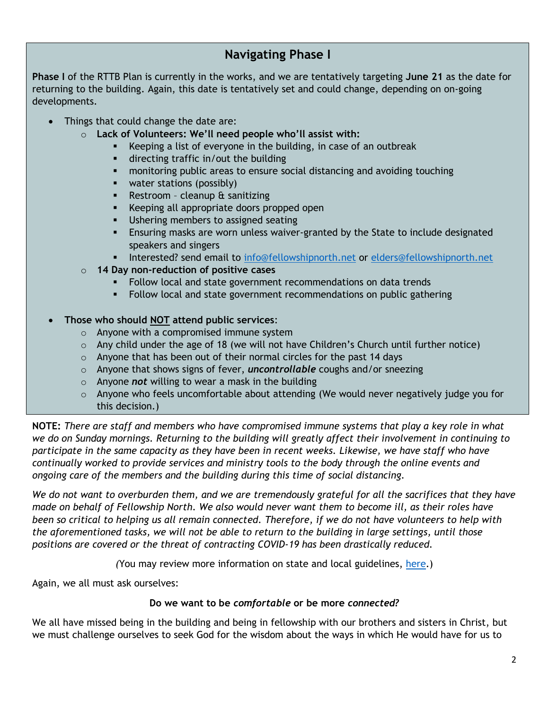## **Navigating Phase I**

**Phase I** of the RTTB Plan is currently in the works, and we are tentatively targeting **June 21** as the date for returning to the building. Again, this date is tentatively set and could change, depending on on-going developments.

- Things that could change the date are:
	- o **Lack of Volunteers: We'll need people who'll assist with:**
		- Keeping a list of everyone in the building, in case of an outbreak
		- directing traffic in/out the building
		- monitoring public areas to ensure social distancing and avoiding touching
		- water stations (possibly)
		- **Restroom cleanup & sanitizing**
		- Keeping all appropriate doors propped open
		- **Ushering members to assigned seating**
		- Ensuring masks are worn unless waiver-granted by the State to include designated speakers and singers
		- Interested? send email to [info@fellowshipnorth.net](mailto:info@fellowshipnorth.net) or [elders@fellowshipnorth.net](mailto:elders@fellowshipnorth.net)
	- o **14 Day non-reduction of positive cases**
		- Follow local and state government recommendations on data trends
		- Follow local and state government recommendations on public gathering

### **Those who should NOT attend public services**:

- o Anyone with a compromised immune system
- o Any child under the age of 18 (we will not have Children's Church until further notice)
- $\circ$  Anyone that has been out of their normal circles for the past 14 days
- o Anyone that shows signs of fever, *uncontrollable* coughs and/or sneezing
- o Anyone *not* willing to wear a mask in the building
- o Anyone who feels uncomfortable about attending (We would never negatively judge you for this decision.)

**NOTE:** *There are staff and members who have compromised immune systems that play a key role in what we do on Sunday mornings. Returning to the building will greatly affect their involvement in continuing to participate in the same capacity as they have been in recent weeks. Likewise, we have staff who have continually worked to provide services and ministry tools to the body through the online events and ongoing care of the members and the building during this time of social distancing.* 

*We do not want to overburden them, and we are tremendously grateful for all the sacrifices that they have made on behalf of Fellowship North. We also would never want them to become ill, as their roles have been so critical to helping us all remain connected. Therefore, if we do not have volunteers to help with the aforementioned tasks, we will not be able to return to the building in large settings, until those positions are covered or the threat of contracting COVID-19 has been drastically reduced.* 

*(*You may review more information on state and local guidelines, [here.](https://www.healthy.arkansas.gov/programs-services/topics/covid-19-guidance-for-faith-based-organizations))

Again, we all must ask ourselves:

#### **Do we want to be** *comfortable* **or be more** *connected?*

We all have missed being in the building and being in fellowship with our brothers and sisters in Christ, but we must challenge ourselves to seek God for the wisdom about the ways in which He would have for us to